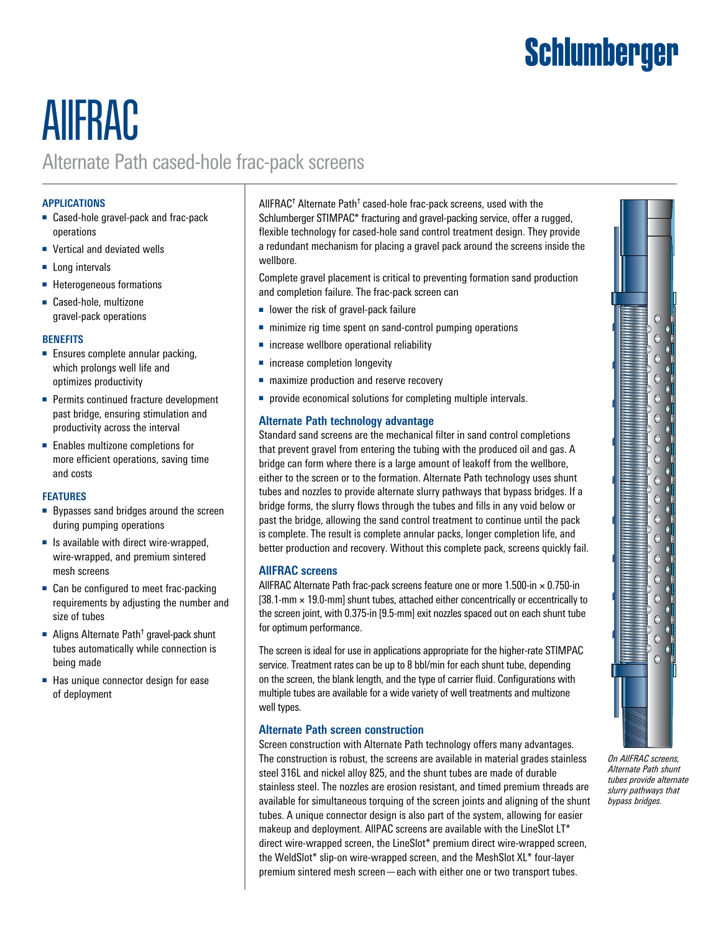# Schlumberger

## AllFRAC Alternate Path cased-hole frac-pack screens

#### **APPLICATIONS**

- Cased-hole gravel-pack and frac-pack operations
- Vertical and deviated wells
- Long intervals
- Heterogeneous formations
- Cased-hole, multizone gravel-pack operations

#### **BENEFITS**

- Ensures complete annular packing, which prolongs well life and optimizes productivity
- Permits continued fracture development past bridge, ensuring stimulation and productivity across the interval
- Enables multizone completions for more efficient operations, saving time and costs

#### **FEATURES**

- Bypasses sand bridges around the screen during pumping operations
- Is available with direct wire-wrapped, wire-wrapped, and premium sintered mesh screens
- Can be configured to meet frac-packing requirements by adjusting the number and size of tubes
- Aligns Alternate Path<sup>†</sup> gravel-pack shunt tubes automatically while connection is being made
- Has unique connector design for ease of deployment

AllFRAC<sup>†</sup> Alternate Path<sup>†</sup> cased-hole frac-pack screens, used with the Schlumberger STIMPAC\* fracturing and gravel-packing service, offer a rugged, flexible technology for cased-hole sand control treatment design. They provide a redundant mechanism for placing a gravel pack around the screens inside the wellbore.

Complete gravel placement is critical to preventing formation sand production and completion failure. The frac-pack screen can

- lower the risk of gravel-pack failure
- minimize rig time spent on sand-control pumping operations
- increase wellbore operational reliability
- increase completion longevity
- maximize production and reserve recovery
- provide economical solutions for completing multiple intervals.

### **Alternate Path technology advantage**

Standard sand screens are the mechanical filter in sand control completions that prevent gravel from entering the tubing with the produced oil and gas. A bridge can form where there is a large amount of leakoff from the wellbore, either to the screen or to the formation. Alternate Path technology uses shunt tubes and nozzles to provide alternate slurry pathways that bypass bridges. If a bridge forms, the slurry flows through the tubes and fills in any void below or past the bridge, allowing the sand control treatment to continue until the pack is complete. The result is complete annular packs, longer completion life, and better production and recovery. Without this complete pack, screens quickly fail.

### **AllFRAC screens**

AllFRAC Alternate Path frac-pack screens feature one or more  $1.500$ -in  $\times$  0.750-in  $[38.1-mm \times 19.0-mm]$  shunt tubes, attached either concentrically or eccentrically to the screen joint, with 0.375-in [9.5-mm] exit nozzles spaced out on each shunt tube for optimum performance.

The screen is ideal for use in applications appropriate for the higher-rate STIMPAC service. Treatment rates can be up to 8 bbl/min for each shunt tube, depending on the screen, the blank length, and the type of carrier fluid. Configurations with multiple tubes are available for a wide variety of well treatments and multizone well types.

#### **Alternate Path screen construction**

Screen construction with Alternate Path technology offers many advantages. The construction is robust, the screens are available in material grades stainless steel 316L and nickel alloy 825, and the shunt tubes are made of durable stainless steel. The nozzles are erosion resistant, and timed premium threads are available for simultaneous torquing of the screen joints and aligning of the shunt tubes. A unique connector design is also part of the system, allowing for easier makeup and deployment. AllPAC screens are available with the LineSlot LT\* direct wire-wrapped screen, the LineSlot\* premium direct wire-wrapped screen, the WeldSlot\* slip-on wire-wrapped screen, and the MeshSlot XL\* four-layer premium sintered mesh screen—each with either one or two transport tubes.



*On AllFRAC screens, Alternate Path shunt tubes provide alternate slurry pathways that bypass bridges.*